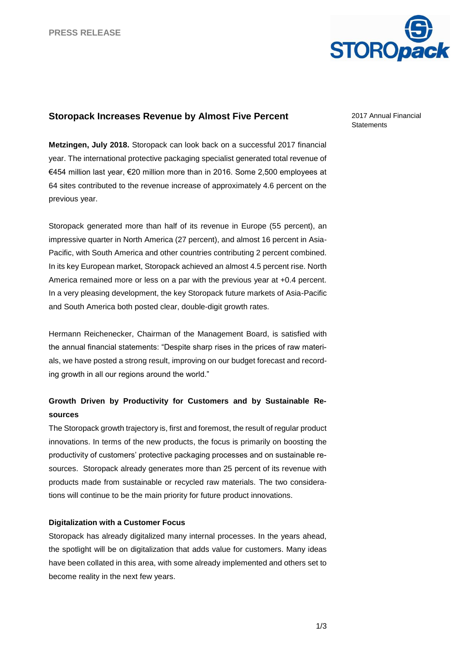

## **Storopack Increases Revenue by Almost Five Percent**

**Metzingen, July 2018.** Storopack can look back on a successful 2017 financial year. The international protective packaging specialist generated total revenue of €454 million last year, €20 million more than in 2016. Some 2,500 employees at 64 sites contributed to the revenue increase of approximately 4.6 percent on the previous year.

Storopack generated more than half of its revenue in Europe (55 percent), an impressive quarter in North America (27 percent), and almost 16 percent in Asia-Pacific, with South America and other countries contributing 2 percent combined. In its key European market, Storopack achieved an almost 4.5 percent rise. North America remained more or less on a par with the previous year at +0.4 percent. In a very pleasing development, the key Storopack future markets of Asia-Pacific and South America both posted clear, double-digit growth rates.

Hermann Reichenecker, Chairman of the Management Board, is satisfied with the annual financial statements: "Despite sharp rises in the prices of raw materials, we have posted a strong result, improving on our budget forecast and recording growth in all our regions around the world."

# **Growth Driven by Productivity for Customers and by Sustainable Resources**

The Storopack growth trajectory is, first and foremost, the result of regular product innovations. In terms of the new products, the focus is primarily on boosting the productivity of customers' protective packaging processes and on sustainable resources. Storopack already generates more than 25 percent of its revenue with products made from sustainable or recycled raw materials. The two considerations will continue to be the main priority for future product innovations.

## **Digitalization with a Customer Focus**

Storopack has already digitalized many internal processes. In the years ahead, the spotlight will be on digitalization that adds value for customers. Many ideas have been collated in this area, with some already implemented and others set to become reality in the next few years.

2017 Annual Financial **Statements**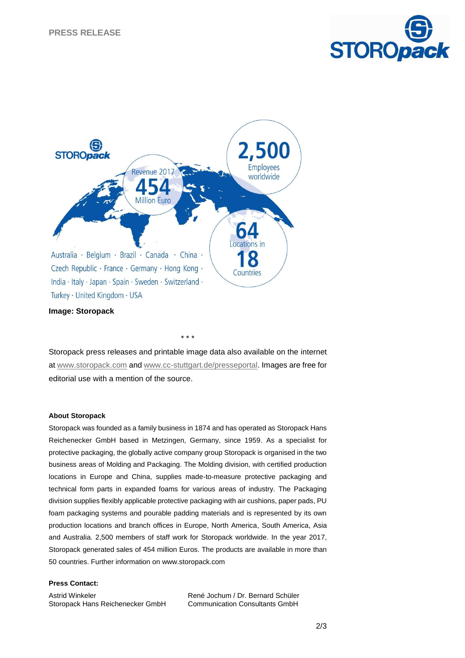



Storopack press releases and printable image data also available on the internet at [www.storopack.com](http://www.storopack.com/) and [www.cc-stuttgart.de/presseportal.](http://www.cc-stuttgart.de/presseportal) Images are free for editorial use with a mention of the source.

\* \* \*

#### **About Storopack**

Storopack was founded as a family business in 1874 and has operated as Storopack Hans Reichenecker GmbH based in Metzingen, Germany, since 1959. As a specialist for protective packaging, the globally active company group Storopack is organised in the two business areas of Molding and Packaging. The Molding division, with certified production locations in Europe and China, supplies made-to-measure protective packaging and technical form parts in expanded foams for various areas of industry. The Packaging division supplies flexibly applicable protective packaging with air cushions, paper pads, PU foam packaging systems and pourable padding materials and is represented by its own production locations and branch offices in Europe, North America, South America, Asia and Australia. 2,500 members of staff work for Storopack worldwide. In the year 2017, Storopack generated sales of 454 million Euros. The products are available in more than 50 countries. Further information on www.storopack.com

### **Press Contact:**

Astrid Winkeler Storopack Hans Reichenecker GmbH René Jochum / Dr. Bernard Schüler Communication Consultants GmbH